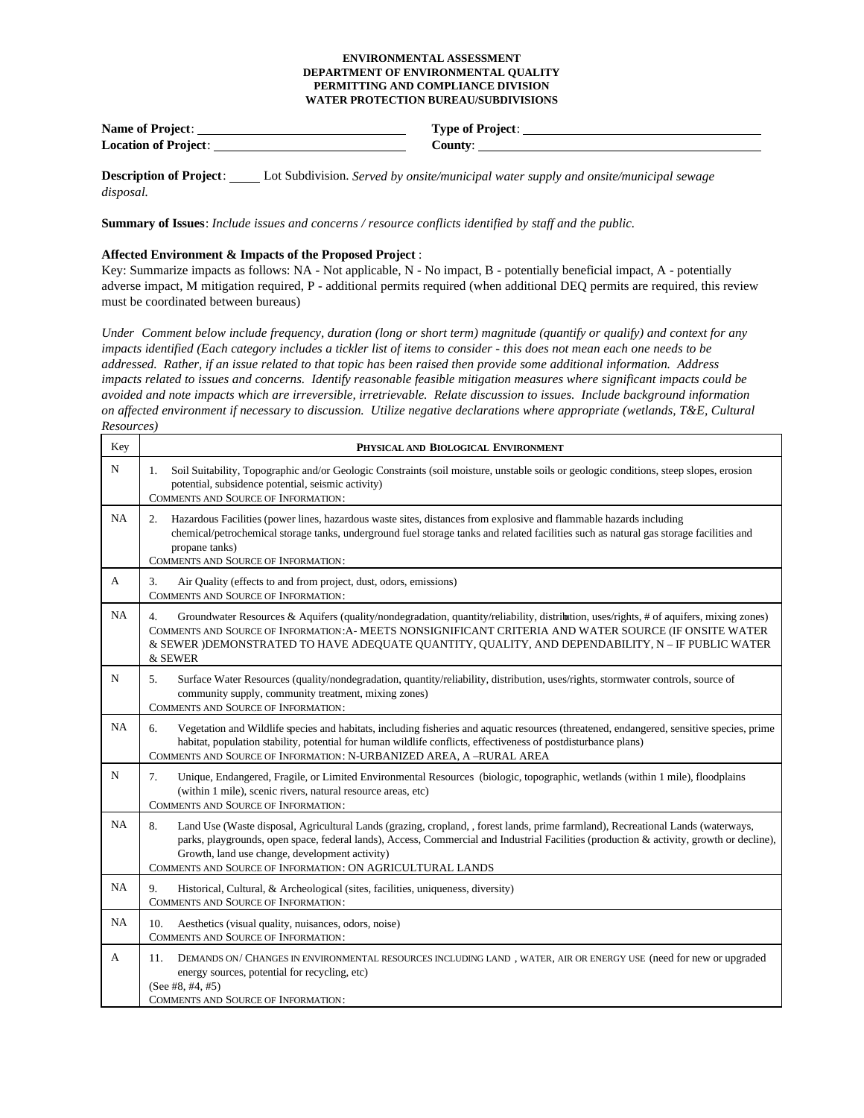## **ENVIRONMENTAL ASSESSMENT DEPARTMENT OF ENVIRONMENTAL QUALITY PERMITTING AND COMPLIANCE DIVISION WATER PROTECTION BUREAU/SUBDIVISIONS**

**Name of Project**: **Type of Project**: **Location of Project**: **County**:

**Description of Project**: Lot Subdivision. *Served by onsite/municipal water supply and onsite/municipal sewage disposal.*

**Summary of Issues**: *Include issues and concerns / resource conflicts identified by staff and the public.*

## **Affected Environment & Impacts of the Proposed Project** :

Key: Summarize impacts as follows: NA - Not applicable, N - No impact, B - potentially beneficial impact, A - potentially adverse impact, M mitigation required, P - additional permits required (when additional DEQ permits are required, this review must be coordinated between bureaus)

*Under Comment below include frequency, duration (long or short term) magnitude (quantify or qualify) and context for any impacts identified (Each category includes a tickler list of items to consider - this does not mean each one needs to be addressed. Rather, if an issue related to that topic has been raised then provide some additional information. Address impacts related to issues and concerns. Identify reasonable feasible mitigation measures where significant impacts could be avoided and note impacts which are irreversible, irretrievable. Relate discussion to issues. Include background information on affected environment if necessary to discussion. Utilize negative declarations where appropriate (wetlands, T&E, Cultural Resources)*

| Key         | PHYSICAL AND BIOLOGICAL ENVIRONMENT                                                                                                                                                                                                                                                                                                                                                               |
|-------------|---------------------------------------------------------------------------------------------------------------------------------------------------------------------------------------------------------------------------------------------------------------------------------------------------------------------------------------------------------------------------------------------------|
| N           | Soil Suitability, Topographic and/or Geologic Constraints (soil moisture, unstable soils or geologic conditions, steep slopes, erosion<br>1.<br>potential, subsidence potential, seismic activity)<br><b>COMMENTS AND SOURCE OF INFORMATION:</b>                                                                                                                                                  |
| <b>NA</b>   | Hazardous Facilities (power lines, hazardous waste sites, distances from explosive and flammable hazards including<br>2.<br>chemical/petrochemical storage tanks, underground fuel storage tanks and related facilities such as natural gas storage facilities and<br>propane tanks)<br>COMMENTS AND SOURCE OF INFORMATION:                                                                       |
| A           | 3.<br>Air Quality (effects to and from project, dust, odors, emissions)<br><b>COMMENTS AND SOURCE OF INFORMATION:</b>                                                                                                                                                                                                                                                                             |
| NA          | Groundwater Resources & Aquifers (quality/nondegradation, quantity/reliability, distribution, uses/rights, # of aquifers, mixing zones)<br>4.<br>COMMENTS AND SOURCE OF INFORMATION: A- MEETS NONSIGNIFICANT CRITERIA AND WATER SOURCE (IF ONSITE WATER<br>& SEWER )DEMONSTRATED TO HAVE ADEQUATE QUANTITY, QUALITY, AND DEPENDABILITY, N - IF PUBLIC WATER<br>& SEWER                            |
| N           | Surface Water Resources (quality/nondegradation, quantity/reliability, distribution, uses/rights, stormwater controls, source of<br>5.<br>community supply, community treatment, mixing zones)<br><b>COMMENTS AND SOURCE OF INFORMATION:</b>                                                                                                                                                      |
| <b>NA</b>   | Vegetation and Wildlife species and habitats, including fisheries and aquatic resources (threatened, endangered, sensitive species, prime<br>6.<br>habitat, population stability, potential for human wildlife conflicts, effectiveness of postdisturbance plans)<br>COMMENTS AND SOURCE OF INFORMATION: N-URBANIZED AREA, A-RURAL AREA                                                           |
| $\mathbf N$ | Unique, Endangered, Fragile, or Limited Environmental Resources (biologic, topographic, wetlands (within 1 mile), floodplains<br>7.<br>(within 1 mile), scenic rivers, natural resource areas, etc)<br><b>COMMENTS AND SOURCE OF INFORMATION:</b>                                                                                                                                                 |
| NA          | Land Use (Waste disposal, Agricultural Lands (grazing, cropland, , forest lands, prime farmland), Recreational Lands (waterways,<br>8.<br>parks, playgrounds, open space, federal lands), Access, Commercial and Industrial Facilities (production & activity, growth or decline),<br>Growth, land use change, development activity)<br>COMMENTS AND SOURCE OF INFORMATION: ON AGRICULTURAL LANDS |
| <b>NA</b>   | 9.<br>Historical, Cultural, & Archeological (sites, facilities, uniqueness, diversity)<br><b>COMMENTS AND SOURCE OF INFORMATION:</b>                                                                                                                                                                                                                                                              |
| <b>NA</b>   | 10.<br>Aesthetics (visual quality, nuisances, odors, noise)<br><b>COMMENTS AND SOURCE OF INFORMATION:</b>                                                                                                                                                                                                                                                                                         |
| A           | 11.<br>DEMANDS ON/ CHANGES IN ENVIRONMENTAL RESOURCES INCLUDING LAND, WATER, AIR OR ENERGY USE (need for new or upgraded<br>energy sources, potential for recycling, etc)<br>(See #8, #4, #5)<br><b>COMMENTS AND SOURCE OF INFORMATION:</b>                                                                                                                                                       |